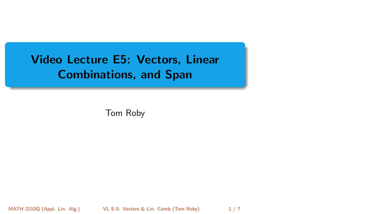# <span id="page-0-0"></span>Video Lecture E5: Vectors, Linear Combinations, and Span

Tom Roby

MATH 2210Q (Appl. Lin. Alg.) [VL E-5: Vectors & Lin. Comb](#page-6-0) (Tom Roby) 1/7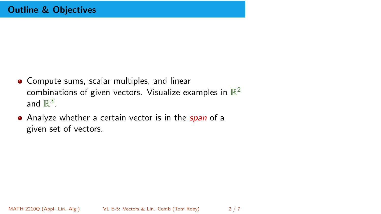- Compute sums, scalar multiples, and linear combinations of given vectors. Visualize examples in  $\mathbb{R}^2$ and  $\mathbb{R}^3$ .
- Analyze whether a certain vector is in the *span* of a given set of vectors.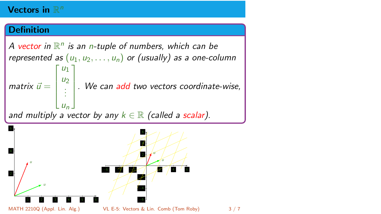# Vectors in  $\mathbb{R}^n$

### **Definition**

A vector in  $\mathbb{R}^n$  is an n-tuple of numbers, which can be represented as  $(u_1, u_2, \ldots, u_n)$  or (usually) as a one-column matrix  $\vec{u} =$ Т  $\frac{1}{2}$  $|u_1|$  $u_2$ . . .  $u_n$ 1  $\overline{\phantom{a}}$ . We can add two vectors coordinate-wise, and multiply a vector by any  $k \in \mathbb{R}$  (called a scalar).

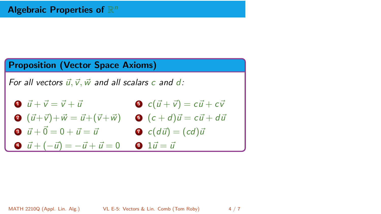### Proposition (Vector Space Axioms)

For all vectors  $\vec{u}, \vec{v}, \vec{w}$  and all scalars c and d:

- **1**  $\vec{u} + \vec{v} = \vec{v} + \vec{u}$  $\bullet\ \ (\vec{u}+\vec{v})+\vec{w}=\vec{u}+(\vec{v}+\vec{w})\quad \bullet\ \ (c+d)\vec{u}=c\vec{u}+d\vec{w}$ 3  $\vec{u} + \vec{0} = 0 + \vec{u} = \vec{u}$  $\bullet$  c( $\vec{u} + \vec{v}$ ) = c $\vec{u} + c\vec{v}$  $\bullet$  c(du) = (cd)u
- $\vec{u} + (-\vec{u}) = -\vec{u} + \vec{u} = 0$   $\vec{u} = \vec{u}$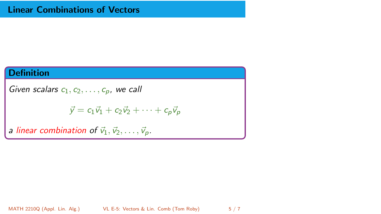## **Definition**

Given scalars  $c_1, c_2, \ldots, c_p$ , we call

$$
\vec{y} = c_1 \vec{v}_1 + c_2 \vec{v}_2 + \cdots + c_p \vec{v}_p
$$

a linear combination of  $\vec{v}_1, \vec{v}_2, \ldots, \vec{v}_p$ .

MATH 2210Q (Appl. Lin. Alg.) [VL E-5: Vectors & Lin. Comb](#page-0-0) (Tom Roby) 5/7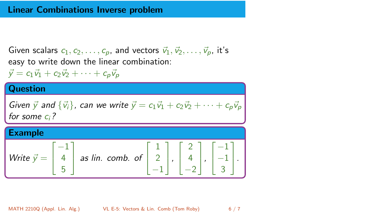#### Linear Combinations Inverse problem

Given scalars  $c_1, c_2, \ldots, c_p$ , and vectors  $\vec{v}_1, \vec{v}_2, \ldots, \vec{v}_p$ , it's easy to write down the linear combination:

 $\vec{v} = c_1\vec{v_1} + c_2\vec{v_2} + \cdots + c_n\vec{v_n}$ 

#### **Question** Given  $\vec{y}$  and  ${\vec{v}_i}$ , can we write  $\vec{y} = c_1\vec{v}_1 + c_2\vec{v}_2 + \cdots + c_p\vec{v}_p$ for some  $c_i$ ? Example Write  $\vec{y} =$  $\sqrt{ }$  $\overline{1}$ −1 4 5 1 as lin. comb. of  $\sqrt{ }$  $\overline{1}$ 1 2 −1 1  $\vert$ ,  $\sqrt{ }$  $\overline{1}$ 2 4  $-2$ 1  $\vert$ ,  $\sqrt{ }$  $\overline{1}$ −1 −1 3 1  $\vert \cdot$

MATH 2210Q (Appl. Lin. Alg.) [VL E-5: Vectors & Lin. Comb](#page-0-0) (Tom Roby) 6 / 7